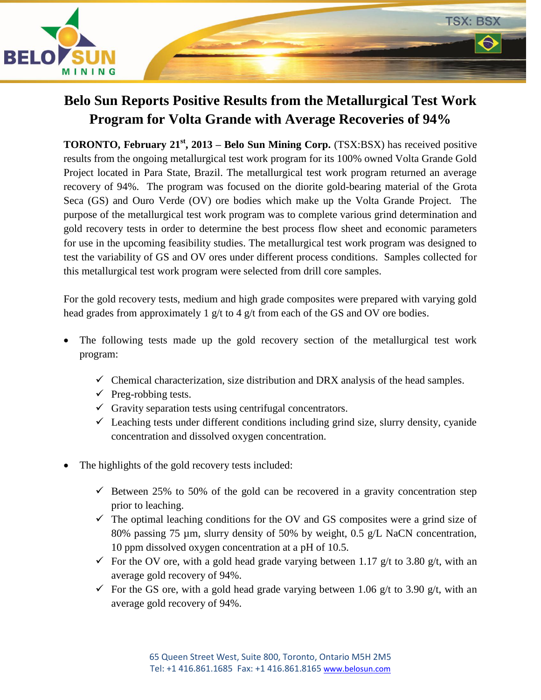

## **Belo Sun Reports Positive Results from the Metallurgical Test Work Program for Volta Grande with Average Recoveries of 94%**

**TSX: BSX** 

**TORONTO, February 21st, 2013 – Belo Sun Mining Corp.** (TSX:BSX) has received positive results from the ongoing metallurgical test work program for its 100% owned Volta Grande Gold Project located in Para State, Brazil. The metallurgical test work program returned an average recovery of 94%. The program was focused on the diorite gold-bearing material of the Grota Seca (GS) and Ouro Verde (OV) ore bodies which make up the Volta Grande Project. The purpose of the metallurgical test work program was to complete various grind determination and gold recovery tests in order to determine the best process flow sheet and economic parameters for use in the upcoming feasibility studies. The metallurgical test work program was designed to test the variability of GS and OV ores under different process conditions. Samples collected for this metallurgical test work program were selected from drill core samples.

For the gold recovery tests, medium and high grade composites were prepared with varying gold head grades from approximately 1 g/t to 4 g/t from each of the GS and OV ore bodies.

- The following tests made up the gold recovery section of the metallurgical test work program:
	- $\checkmark$  Chemical characterization, size distribution and DRX analysis of the head samples.
	- $\checkmark$  Preg-robbing tests.
	- $\checkmark$  Gravity separation tests using centrifugal concentrators.
	- $\checkmark$  Leaching tests under different conditions including grind size, slurry density, cyanide concentration and dissolved oxygen concentration.
- The highlights of the gold recovery tests included:
	- $\checkmark$  Between 25% to 50% of the gold can be recovered in a gravity concentration step prior to leaching.
	- $\checkmark$  The optimal leaching conditions for the OV and GS composites were a grind size of 80% passing 75 µm, slurry density of 50% by weight, 0.5 g/L NaCN concentration, 10 ppm dissolved oxygen concentration at a pH of 10.5.
	- $\checkmark$  For the OV ore, with a gold head grade varying between 1.17 g/t to 3.80 g/t, with an average gold recovery of 94%.
	- $\checkmark$  For the GS ore, with a gold head grade varying between 1.06 g/t to 3.90 g/t, with an average gold recovery of 94%.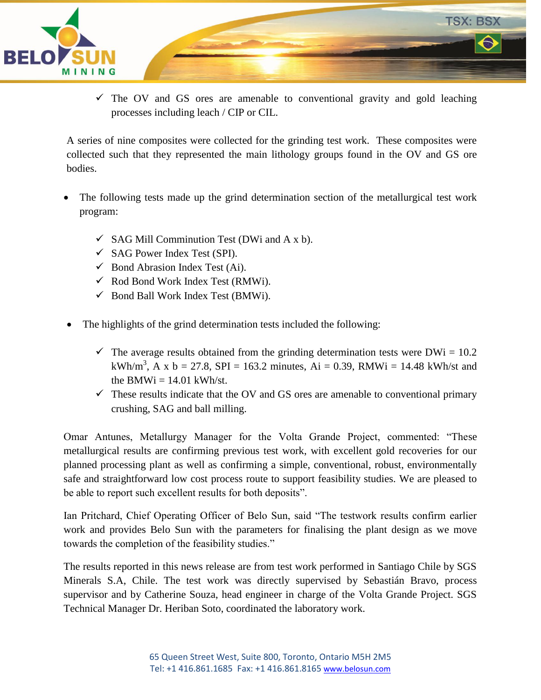

 $\checkmark$  The OV and GS ores are amenable to conventional gravity and gold leaching processes including leach / CIP or CIL.

**TSX: BSX** 

A series of nine composites were collected for the grinding test work. These composites were collected such that they represented the main lithology groups found in the OV and GS ore bodies.

- The following tests made up the grind determination section of the metallurgical test work program:
	- $\checkmark$  SAG Mill Comminution Test (DWi and A x b).
	- $\checkmark$  SAG Power Index Test (SPI).
	- $\checkmark$  Bond Abrasion Index Test (Ai).
	- $\checkmark$  Rod Bond Work Index Test (RMWi).
	- $\checkmark$  Bond Ball Work Index Test (BMWi).
- The highlights of the grind determination tests included the following:
	- $\checkmark$  The average results obtained from the grinding determination tests were DWi = 10.2 kWh/m<sup>3</sup>, A x b = 27.8, SPI = 163.2 minutes, Ai = 0.39, RMWi = 14.48 kWh/st and the BMWi =  $14.01$  kWh/st.
	- $\checkmark$  These results indicate that the OV and GS ores are amenable to conventional primary crushing, SAG and ball milling.

Omar Antunes, Metallurgy Manager for the Volta Grande Project, commented: "These metallurgical results are confirming previous test work, with excellent gold recoveries for our planned processing plant as well as confirming a simple, conventional, robust, environmentally safe and straightforward low cost process route to support feasibility studies. We are pleased to be able to report such excellent results for both deposits".

Ian Pritchard, Chief Operating Officer of Belo Sun, said "The testwork results confirm earlier work and provides Belo Sun with the parameters for finalising the plant design as we move towards the completion of the feasibility studies."

The results reported in this news release are from test work performed in Santiago Chile by SGS Minerals S.A, Chile. The test work was directly supervised by Sebastián Bravo, process supervisor and by Catherine Souza, head engineer in charge of the Volta Grande Project. SGS Technical Manager Dr. Heriban Soto, coordinated the laboratory work.